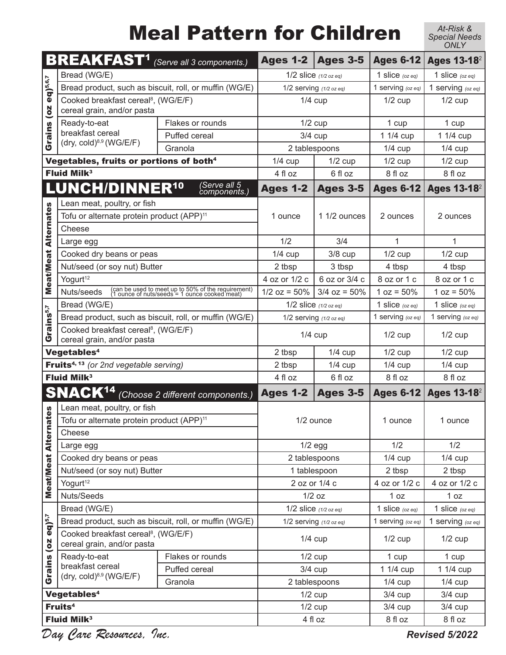## Meal Pattern for Children

*At-Risk & Special Needs ONLY*

|                             | <b>BREAKFAST<sup>1</sup></b> (Serve all 3 components.)                        |                                                                                                     | <b>Ages 1-2</b>               | <b>Ages 3-5</b>         | <b>Ages 6-12</b>      | <b>Ages 13-18</b> <sup>2</sup> |
|-----------------------------|-------------------------------------------------------------------------------|-----------------------------------------------------------------------------------------------------|-------------------------------|-------------------------|-----------------------|--------------------------------|
| $eq)^{5,6,7}$<br>Grains (oz | Bread (WG/E)                                                                  |                                                                                                     | 1/2 slice $(1/2$ oz eq)       |                         | 1 slice $(oz eq)$     | 1 slice $(oz eq)$              |
|                             | Bread product, such as biscuit, roll, or muffin (WG/E)                        |                                                                                                     | 1/2 serving (1/2 oz eq)       |                         | 1 serving (oz eq)     | 1 serving (oz eq)              |
|                             | Cooked breakfast cereal <sup>8</sup> , (WG/E/F)<br>cereal grain, and/or pasta |                                                                                                     | $1/4$ cup                     |                         | $1/2$ cup             | $1/2$ cup                      |
|                             | Ready-to-eat                                                                  | Flakes or rounds                                                                                    | $1/2$ cup                     |                         | 1 cup                 | 1 cup                          |
|                             | breakfast cereal                                                              | Puffed cereal                                                                                       | $3/4$ cup                     |                         | 1 1/4 cup             | 1 1/4 cup                      |
|                             | $(dry, cold)^{8,9}$ (WG/E/F)                                                  | Granola                                                                                             |                               | 2 tablespoons           | $1/4$ cup             | $1/4$ cup                      |
|                             | Vegetables, fruits or portions of both <sup>4</sup>                           |                                                                                                     | $1/4$ cup                     | $1/2$ cup               | $1/2$ cup             | $1/2$ cup                      |
|                             | <b>Fluid Milk<sup>3</sup></b>                                                 | 4 fl oz                                                                                             | 6 fl oz                       | 8 fl oz                 | 8 fl oz               |                                |
|                             | LUNCH/DINNER <sup>10</sup>                                                    | (Serve all 5<br>components.)                                                                        | <b>Ages 1-2</b>               | <b>Ages 3-5</b>         | <b>Ages 6-12</b>      | <b>Ages 13-18</b> <sup>2</sup> |
|                             | Lean meat, poultry, or fish                                                   |                                                                                                     |                               |                         |                       |                                |
| <b>Meat/Meat Alternates</b> | Tofu or alternate protein product (APP) <sup>11</sup>                         |                                                                                                     | 1 ounce                       | 1 1/2 ounces            | 2 ounces              | 2 ounces                       |
|                             | Cheese                                                                        |                                                                                                     |                               |                         |                       |                                |
|                             | Large egg                                                                     |                                                                                                     | 1/2                           | 3/4                     | $\mathbf{1}$          | $\mathbf{1}$                   |
|                             | Cooked dry beans or peas                                                      |                                                                                                     | $1/4$ cup                     | $3/8$ cup               | $1/2$ cup             | $1/2$ cup                      |
|                             | Nut/seed (or soy nut) Butter                                                  |                                                                                                     | 2 tbsp                        | 3 tbsp                  | 4 tbsp                | 4 tbsp                         |
|                             | Yogurt <sup>12</sup>                                                          |                                                                                                     | 4 oz or 1/2 c                 | 6 oz or 3/4 c           | 8 oz or 1 c           | 8 oz or 1 c                    |
|                             | Nuts/seeds                                                                    | (can be used to meet up to 50% of the requirement)<br>(1 ounce of nuts/seeds = 1 ounce cooked meat) | $1/2$ oz = 50%                | $3/4$ oz = 50%          | $1 oz = 50%$          | $1 oz = 50%$                   |
| irains <sup>5,7</sup>       | Bread (WG/E)                                                                  |                                                                                                     |                               | 1/2 slice $(1/2$ oz eq) | 1 slice $(oz eq)$     | 1 slice $(oz eq)$              |
|                             | Bread product, such as biscuit, roll, or muffin (WG/E)                        |                                                                                                     | 1/2 serving $(1/2$ oz eq)     |                         | 1 serving (oz eq)     | 1 serving (oz eq)              |
| ပ                           | Cooked breakfast cereal <sup>8</sup> , (WG/E/F)<br>cereal grain, and/or pasta |                                                                                                     | $1/4$ cup                     |                         | $1/2$ cup             | $1/2$ cup                      |
|                             | Vegetables <sup>4</sup>                                                       | 2 tbsp                                                                                              | $1/4$ cup                     | $1/2$ cup               | $1/2$ cup             |                                |
|                             | <b>Fruits</b> <sup>4, 13</sup> (or 2nd vegetable serving)                     | 2 tbsp                                                                                              | $1/4$ cup                     | $1/4$ cup               | $1/4$ cup             |                                |
|                             | <b>Fluid Milk<sup>3</sup></b>                                                 | 4 fl oz                                                                                             | 6 fl oz                       | 8 fl oz                 | 8 fl oz               |                                |
|                             | <b>SNACK<sup>14</sup></b> (Choose 2 different components.)                    |                                                                                                     | <b>Ages 1-2</b>               | <b>Ages 3-5</b>         | <b>Ages 6-12</b>      | <b>Ages 13-18</b> <sup>2</sup> |
| 89                          | Lean meat, poultry, or fish                                                   |                                                                                                     | 1/2 ounce                     |                         |                       |                                |
|                             | Tofu or alternate protein product (APP) <sup>11</sup>                         |                                                                                                     |                               |                         | 1 ounce               | 1 ounce                        |
|                             | Cheese                                                                        |                                                                                                     |                               |                         |                       |                                |
| Meat/Meat Alterna           | Large egg                                                                     |                                                                                                     | $1/2$ egg                     |                         | 1/2                   | 1/2                            |
|                             | Cooked dry beans or peas<br>Nut/seed (or soy nut) Butter                      |                                                                                                     | 2 tablespoons<br>1 tablespoon |                         | $1/4$ cup             | $1/4$ cup                      |
|                             | Yogurt <sup>12</sup>                                                          |                                                                                                     | 2 oz or 1/4 c                 |                         | 2 tbsp                | 2 tbsp                         |
|                             | Nuts/Seeds                                                                    |                                                                                                     | $1/2$ oz                      |                         | 4 oz or 1/2 c<br>1 oz | 4 oz or 1/2 c<br>1 oz          |
|                             | Bread (WG/E)                                                                  |                                                                                                     | $1/2$ slice $(1/2$ oz eq)     |                         | 1 slice $(oz eq)$     | 1 slice $(oz eq)$              |
|                             | Bread product, such as biscuit, roll, or muffin (WG/E)                        |                                                                                                     | 1/2 serving (1/2 oz eq)       |                         | 1 serving (oz eq)     | 1 serving (oz eq)              |
| $eq)$ <sup>5,7</sup>        | Cooked breakfast cereal <sup>8</sup> , (WG/E/F)<br>cereal grain, and/or pasta |                                                                                                     | $1/4$ cup                     |                         | $1/2$ cup             | $1/2$ cup                      |
|                             | Ready-to-eat                                                                  | Flakes or rounds                                                                                    | $1/2$ cup                     |                         | 1 cup                 | 1 cup                          |
| Grains (oz                  | breakfast cereal<br>$(\text{dry}, \text{cold})^{8,9}$ (WG/E/F)                | Puffed cereal                                                                                       |                               | $3/4$ cup               | 1 1/4 cup             | 1 1/4 cup                      |
|                             |                                                                               | Granola                                                                                             |                               | 2 tablespoons           | $1/4$ cup             | $1/4$ cup                      |
| Vegetables <sup>4</sup>     |                                                                               |                                                                                                     | $1/2$ cup                     |                         | $3/4$ cup             | $3/4$ cup                      |
| Fruits <sup>4</sup>         |                                                                               |                                                                                                     | $1/2$ cup                     |                         | $3/4$ cup             | $3/4$ cup                      |
|                             | <b>Fluid Milk<sup>3</sup></b>                                                 |                                                                                                     | 4 fl oz                       |                         | 8 fl oz               | 8 fl oz                        |

*Day Care Resources, Inc.* 

*Revised 5/2022*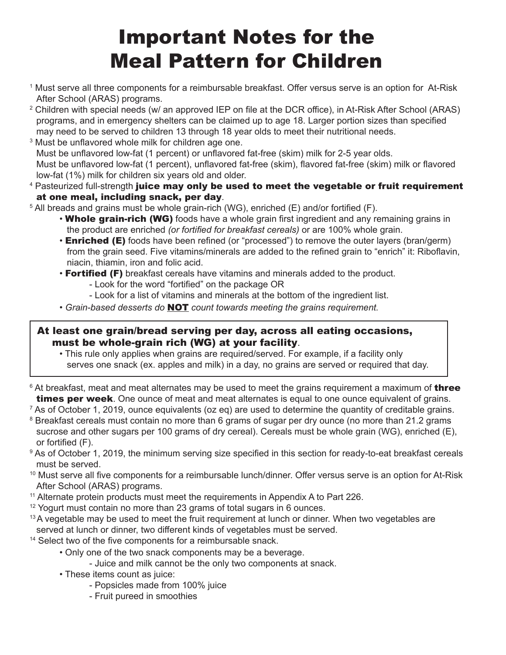## Important Notes for the Meal Pattern for Children

- 1 Must serve all three components for a reimbursable breakfast. Offer versus serve is an option for At-Risk After School (ARAS) programs.
- $^{\rm 2}$  Children with special needs (w/ an approved IEP on file at the DCR office), in At-Risk After School (ARAS) programs, and in emergency shelters can be claimed up to age 18. Larger portion sizes than specified may need to be served to children 13 through 18 year olds to meet their nutritional needs.
- 3 Must be unflavored whole milk for children age one. Must be unflavored low-fat (1 percent) or unflavored fat-free (skim) milk for 2-5 year olds. Must be unflavored low-fat (1 percent), unflavored fat-free (skim), flavored fat-free (skim) milk or flavored low-fat (1%) milk for children six years old and older.
- <sup>4</sup> Pasteurized full-strength **juice may only be used to meet the vegetable or fruit requirement** at one meal, including snack, per day.
- $5$  All breads and grains must be whole grain-rich (WG), enriched (E) and/or fortified (F).
	- Whole grain-rich (WG) foods have a whole grain first ingredient and any remaining grains in the product are enriched *(or fortified for breakfast cereals)* or are 100% whole grain.
	- **Enriched (E)** foods have been refined (or "processed") to remove the outer layers (bran/germ) from the grain seed. Five vitamins/minerals are added to the refined grain to "enrich" it: Riboflavin, niacin, thiamin, iron and folic acid.
	- Fortified (F) breakfast cereals have vitamins and minerals added to the product.
		- Look for the word "fortified" on the package OR
		- Look for a list of vitamins and minerals at the bottom of the ingredient list.
	- *Grain-based desserts do* NOT *count towards meeting the grains requirement.*

#### At least one grain/bread serving per day, across all eating occasions, must be whole-grain rich (WG) at your facility.

- This rule only applies when grains are required/served. For example, if a facility only serves one snack (ex. apples and milk) in a day, no grains are served or required that day.
- $^{\rm 6}$  At breakfast, meat and meat alternates may be used to meet the grains requirement a maximum of  $\sf{three}$ **times per week**. One ounce of meat and meat alternates is equal to one ounce equivalent of grains.

 $^7$  As of October 1, 2019, ounce equivalents (oz eq) are used to determine the quantity of creditable grains.

- $^{\text{\tiny{8}}}$  Breakfast cereals must contain no more than 6 grams of sugar per dry ounce (no more than 21.2 grams  $^{\text{\tiny{8}}}$ sucrose and other sugars per 100 grams of dry cereal). Cereals must be whole grain (WG), enriched (E), or fortified (F).
- $^9$  As of October 1, 2019, the minimum serving size specified in this section for ready-to-eat breakfast cereals must be served.
- $10$  Must serve all five components for a reimbursable lunch/dinner. Offer versus serve is an option for At-Risk After School (ARAS) programs.
- $11$  Alternate protein products must meet the requirements in Appendix A to Part 226.
- $12$  Yogurt must contain no more than 23 grams of total sugars in 6 ounces.
- <sup>13</sup>A vegetable may be used to meet the fruit requirement at lunch or dinner. When two vegetables are served at lunch or dinner, two different kinds of vegetables must be served.
- <sup>14</sup> Select two of the five components for a reimbursable snack.
	- Only one of the two snack components may be a beverage.
		- Juice and milk cannot be the only two components at snack.
	- These items count as juice:
		- Popsicles made from 100% juice
		- Fruit pureed in smoothies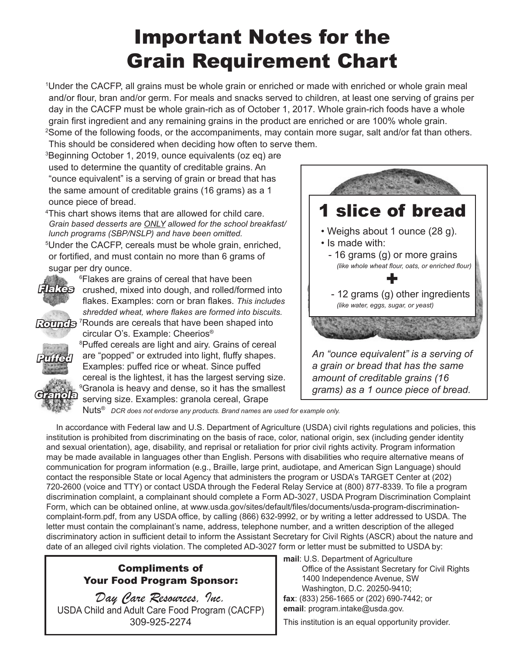### Important Notes for the Grain Requirement Chart

1 Under the CACFP, all grains must be whole grain or enriched or made with enriched or whole grain meal and/or flour, bran and/or germ. For meals and snacks served to children, at least one serving of grains per day in the CACFP must be whole grain-rich as of October 1, 2017. Whole grain-rich foods have a whole grain first ingredient and any remaining grains in the product are enriched or are 100% whole grain.  $^{2}$ Some of the following foods, or the accompaniments, may contain more sugar, salt and/or fat than others.

This should be considered when deciding how often to serve them. 3 Beginning October 1, 2019, ounce equivalents (oz eq) are used to determine the quantity of creditable grains. An "ounce equivalent" is a serving of grain or bread that has the same amount of creditable grains (16 grams) as a 1 ounce piece of bread.

4 This chart shows items that are allowed for child care. *Grain based desserts are ONLY allowed for the school breakfast/ lunch programs (SBP/NSLP) and have been omitted.*

5 Under the CACFP, cereals must be whole grain, enriched, or fortified, and must contain no more than 6 grams of sugar per dry ounce.

circular O's. Example: Cheerios®



6 Flakes are grains of cereal that have been **Flakes** crushed, mixed into dough, and rolled/formed into flakes. Examples: corn or bran flakes. *This includes shredded wheat, where flakes are formed into biscuits.* Rounds <sup>7</sup>Rounds are cereals that have been shaped into



8 Puffed cereals are light and airy. Grains of cereal are "popped" or extruded into light, fluffy shapes. Examples: puffed rice or wheat. Since puffed cereal is the lightest, it has the largest serving size.  $^9$ Granola is heavy and dense, so it has the smallest serving size. Examples: granola cereal, Grape



Nuts® *DCR does not endorse any products. Brand names are used for example only.* 

In accordance with Federal law and U.S. Department of Agriculture (USDA) civil rights regulations and policies, this institution is prohibited from discriminating on the basis of race, color, national origin, sex (including gender identity and sexual orientation), age, disability, and reprisal or retaliation for prior civil rights activity. Program information may be made available in languages other than English. Persons with disabilities who require alternative means of communication for program information (e.g., Braille, large print, audiotape, and American Sign Language) should contact the responsible State or local Agency that administers the program or USDA's TARGET Center at (202) 720-2600 (voice and TTY) or contact USDA through the Federal Relay Service at (800) 877-8339. To file a program discrimination complaint, a complainant should complete a Form AD-3027, USDA Program Discrimination Complaint Form, which can be obtained online, at www.usda.gov/sites/default/files/documents/usda-program-discriminationcomplaint-form.pdf, from any USDA office, by calling (866) 632-9992, or by writing a letter addressed to USDA. The letter must contain the complainant's name, address, telephone number, and a written description of the alleged discriminatory action in sufficient detail to inform the Assistant Secretary for Civil Rights (ASCR) about the nature and date of an alleged civil rights violation. The completed AD-3027 form or letter must be submitted to USDA by:

#### Compliments of Your Food Program Sponsor:

*Day Care Resources, Inc.*  USDA Child and Adult Care Food Program (CACFP) 309-925-2274

**mail**: U.S. Department of Agriculture Office of the Assistant Secretary for Civil Rights 1400 Independence Avenue, SW Washington, D.C. 20250-9410; **fax**: (833) 256-1665 or (202) 690-7442; or **email**: program.intake@usda.gov.

This institution is an equal opportunity provider.